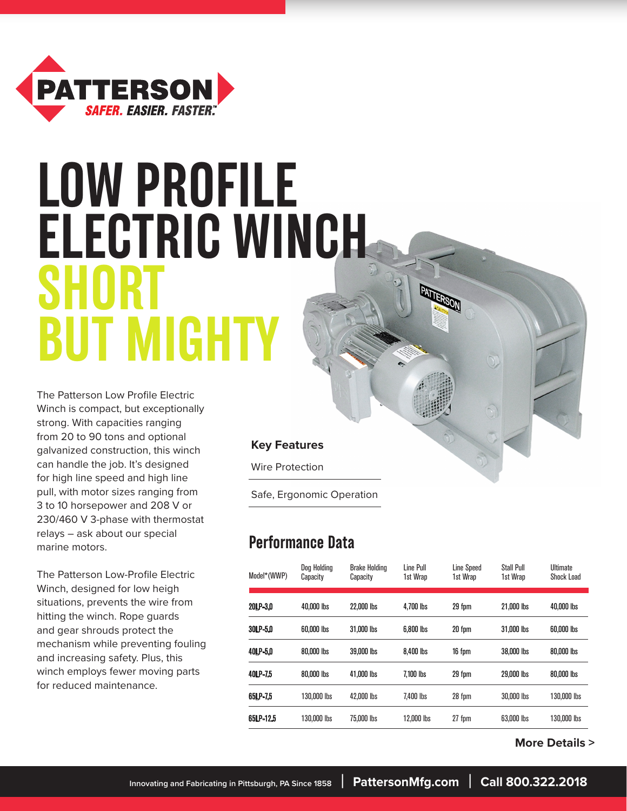

# **LOW PROFILE ELECTRIC WINCH SHORT BUT MIGHTY**

The Patterson Low Profile Electric Winch is compact, but exceptionally strong. With capacities ranging from 20 to 90 tons and optional galvanized construction, this winch can handle the job. It's designed for high line speed and high line pull, with motor sizes ranging from 3 to 10 horsepower and 208 V or 230/460 V 3-phase with thermostat relays – ask about our special marine motors.

The Patterson Low-Profile Electric Winch, designed for low heigh situations, prevents the wire from hitting the winch. Rope guards and gear shrouds protect the mechanism while preventing fouling and increasing safety. Plus, this winch employs fewer moving parts for reduced maintenance.

#### **Key Features**

Wire Protection

Safe, Ergonomic Operation

### **Performance Data**

| Model*(WWP) | Dog Holding<br>Capacity | <b>Brake Holding</b><br>Capacity | Line Pull<br>1st Wrap | <b>Line Speed</b><br>1st Wrap | <b>Stall Pull</b><br>1st Wrap | <b>Ultimate</b><br><b>Shock Load</b> |
|-------------|-------------------------|----------------------------------|-----------------------|-------------------------------|-------------------------------|--------------------------------------|
| 20LP-3.0    | 40,000 lbs              | 22,000 lbs                       | 4.700 lbs             | 29 fpm                        | 21.000 lbs                    | 40,000 lbs                           |
| 30LP-5.0    | 60,000 lbs              | 31,000 lbs                       | 6,800 lbs             | 20 fpm                        | 31,000 lbs                    | 60,000 lbs                           |
| 40LP-5.0    | 80,000 lbs              | 39,000 lbs                       | 8.400 lbs             | 16 fpm                        | 38,000 lbs                    | 80,000 lbs                           |
| 40LP-7.5    | 80,000 lbs              | 41.000 lbs                       | 7.100 lbs             | 29 fpm                        | 29,000 lbs                    | 80,000 lbs                           |
| 65LP-7.5    | 130,000 lbs             | 42,000 lbs                       | 7,400 lbs             | 28 fpm                        | 30,000 lbs                    | 130,000 lbs                          |
| 65LP-12.5   | 130,000 lbs             | 75,000 lbs                       | 12.000 lbs            | 27 fpm                        | 63,000 lbs                    | 130,000 lbs                          |

 **More Details >**